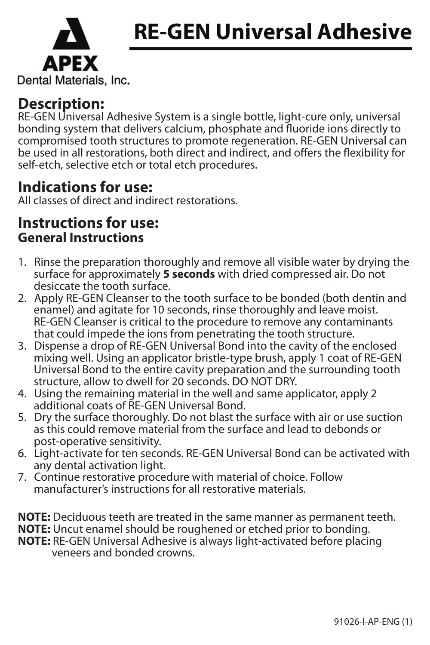



### Dental Materials, Inc.

# **Description:**

RE-GEN Universal Adhesive System is a single bottle, light-cure only, universal bonding system that delivers calcium, phosphate and fluoride ions directly to compromised tooth structures to promote regeneration. RE-GEN Universal can be used in all restorations, both direct and indirect, and offers the flexibility for self-etch, selective etch or total etch procedures.

## **Indications for use:**

All classes of direct and indirect restorations.

## **Instructions for use: General Instructions**

- 1. Rinse the preparation thoroughly and remove all visible water by drying the surface for approximately **5 seconds** with dried compressed air. Do not desiccate the tooth surface.
- 2. Apply RE-GEN Cleanser to the tooth surface to be bonded (both dentin and enamel) and agitate for 10 seconds, rinse thoroughly and leave moist. RE-GEN Cleanser is critical to the procedure to remove any contaminants that could impede the ions from penetrating the tooth structure.
- 3. Dispense a drop of RE-GEN Universal Bond into the cavity of the enclosed mixing well. Using an applicator bristle-type brush, apply 1 coat of RE-GEN Universal Bond to the entire cavity preparation and the surrounding tooth structure, allow to dwell for 20 seconds. DO NOT DRY.
- 4. Using the remaining material in the well and same applicator, apply 2 additional coats of RE-GEN Universal Bond.
- 5. Dry the surface thoroughly. Do not blast the surface with air or use suction as this could remove material from the surface and lead to debonds or post-operative sensitivity.
- 6. Light-activate for ten seconds. RE-GEN Universal Bond can be activated with any dental activation light.
- 7. Continue restorative procedure with material of choice. Follow manufacturer's instructions for all restorative materials.

**NOTE:** Deciduous teeth are treated in the same manner as permanent teeth.<br>**NOTE:** Uncut enamel should be roughened or etched prior to bonding.<br>**NOTE:** RE-GEN Universal Adhesive is always light-activated before placing<br>ven